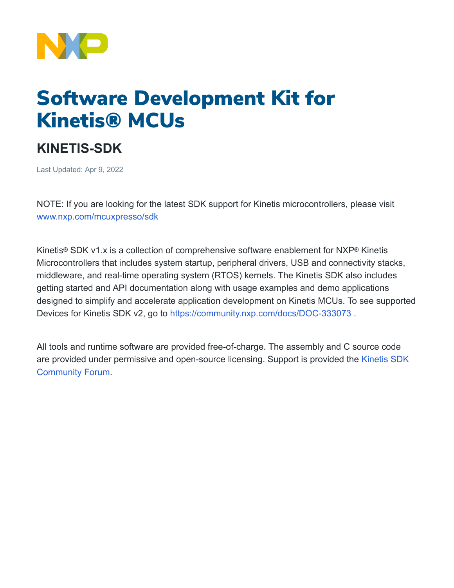

# Software Development Kit for Kinetis® MCUs

## **KINETIS-SDK**

Last Updated: Apr 9, 2022

NOTE: If you are looking for the latest SDK support for Kinetis microcontrollers, please visit [www.nxp.com/mcuxpresso/sdk](https://www.nxp.com/design/software/development-software/mcuxpresso-software-and-tools-/mcuxpresso-software-development-kit-sdk:MCUXpresso-SDK)

Kinetis® SDK v1.x is a collection of comprehensive software enablement for NXP® Kinetis Microcontrollers that includes system startup, peripheral drivers, USB and connectivity stacks, middleware, and real-time operating system (RTOS) kernels. The Kinetis SDK also includes getting started and API documentation along with usage examples and demo applications designed to simplify and accelerate application development on Kinetis MCUs. To see supported Devices for Kinetis SDK v2, go to <https://community.nxp.com/docs/DOC-333073>.

All tools and runtime software are provided free-of-charge. The assembly and C source code are provided under permissive and open-source licensing. Support is provided the [Kinetis SDK](https://community.nxp.com/community/general-purpose-mcus/kinetis) [Community Forum](https://community.nxp.com/community/general-purpose-mcus/kinetis).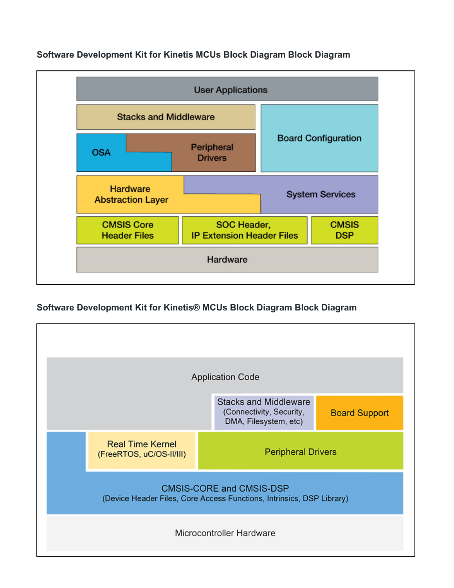

### **Software Development Kit for Kinetis MCUs Block Diagram Block Diagram**

## **Software Development Kit for Kinetis® MCUs Block Diagram Block Diagram**